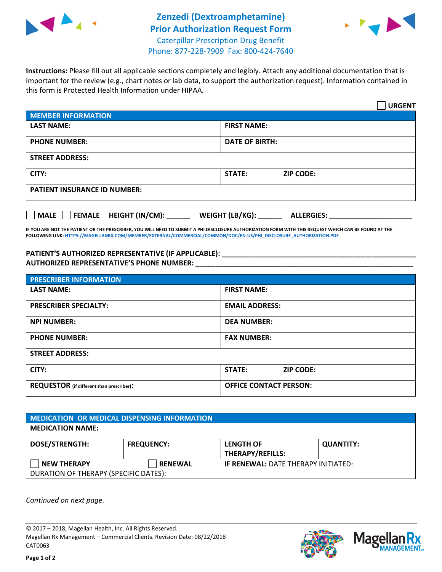



**Instructions:** Please fill out all applicable sections completely and legibly. Attach any additional documentation that is important for the review (e.g., chart notes or lab data, to support the authorization request). Information contained in this form is Protected Health Information under HIPAA.

|                                       | <b>URGENT</b>                        |
|---------------------------------------|--------------------------------------|
| <b>MEMBER INFORMATION</b>             |                                      |
| <b>LAST NAME:</b>                     | <b>FIRST NAME:</b>                   |
| <b>PHONE NUMBER:</b>                  | <b>DATE OF BIRTH:</b>                |
| <b>STREET ADDRESS:</b>                |                                      |
| CITY:                                 | STATE:<br><b>ZIP CODE:</b>           |
| <b>PATIENT INSURANCE ID NUMBER:</b>   |                                      |
| FEMALE HEIGHT (IN/CM):<br><b>MALE</b> | WEIGHT (LB/KG):<br><b>ALLERGIES:</b> |

**IF YOU ARE NOT THE PATIENT OR THE PRESCRIBER, YOU WILL NEED TO SUBMIT A PHI DISCLOSURE AUTHORIZATION FORM WITH THIS REQUEST WHICH CAN BE FOUND AT THE FOLLOWING LINK[: HTTPS://MAGELLANRX.COM/MEMBER/EXTERNAL/COMMERCIAL/COMMON/DOC/EN-US/PHI\\_DISCLOSURE\\_AUTHORIZATION.PDF](https://magellanrx.com/member/external/commercial/common/doc/en-us/PHI_Disclosure_Authorization.pdf)**

**PATIENT'S AUTHORIZED REPRESENTATIVE (IF APPLICABLE): \_\_\_\_\_\_\_\_\_\_\_\_\_\_\_\_\_\_\_\_\_\_\_\_\_\_\_\_\_\_\_\_\_\_\_\_\_\_\_\_\_\_\_\_\_\_\_\_\_ AUTHORIZED REPRESENTATIVE'S PHONE NUMBER:** \_\_\_\_\_\_\_\_\_\_\_\_\_\_\_\_\_\_\_\_\_\_\_\_\_\_\_\_\_\_\_\_\_\_\_\_\_\_\_\_\_\_\_\_\_\_\_\_\_\_\_\_\_\_\_

| <b>PRESCRIBER INFORMATION</b>             |                               |  |  |  |
|-------------------------------------------|-------------------------------|--|--|--|
| <b>LAST NAME:</b>                         | <b>FIRST NAME:</b>            |  |  |  |
| <b>PRESCRIBER SPECIALTY:</b>              | <b>EMAIL ADDRESS:</b>         |  |  |  |
| <b>NPI NUMBER:</b>                        | <b>DEA NUMBER:</b>            |  |  |  |
| <b>PHONE NUMBER:</b>                      | <b>FAX NUMBER:</b>            |  |  |  |
| <b>STREET ADDRESS:</b>                    |                               |  |  |  |
| CITY:                                     | STATE:<br><b>ZIP CODE:</b>    |  |  |  |
| REQUESTOR (if different than prescriber): | <b>OFFICE CONTACT PERSON:</b> |  |  |  |

| MEDICATION OR MEDICAL DISPENSING INFORMATION |                   |                                            |                  |  |
|----------------------------------------------|-------------------|--------------------------------------------|------------------|--|
| <b>MEDICATION NAME:</b>                      |                   |                                            |                  |  |
| <b>DOSE/STRENGTH:</b>                        | <b>FREQUENCY:</b> | <b>LENGTH OF</b>                           | <b>QUANTITY:</b> |  |
|                                              |                   | THERAPY/REFILLS:                           |                  |  |
| <b>NEW THERAPY</b>                           | <b>RENEWAL</b>    | <b>IF RENEWAL: DATE THERAPY INITIATED:</b> |                  |  |
| DURATION OF THERAPY (SPECIFIC DATES):        |                   |                                            |                  |  |

*Continued on next page.*

© 2017 – 2018, Magellan Health, Inc. All Rights Reserved. Magellan Rx Management – Commercial Clients. Revision Date: 08/22/2018 CAT0063